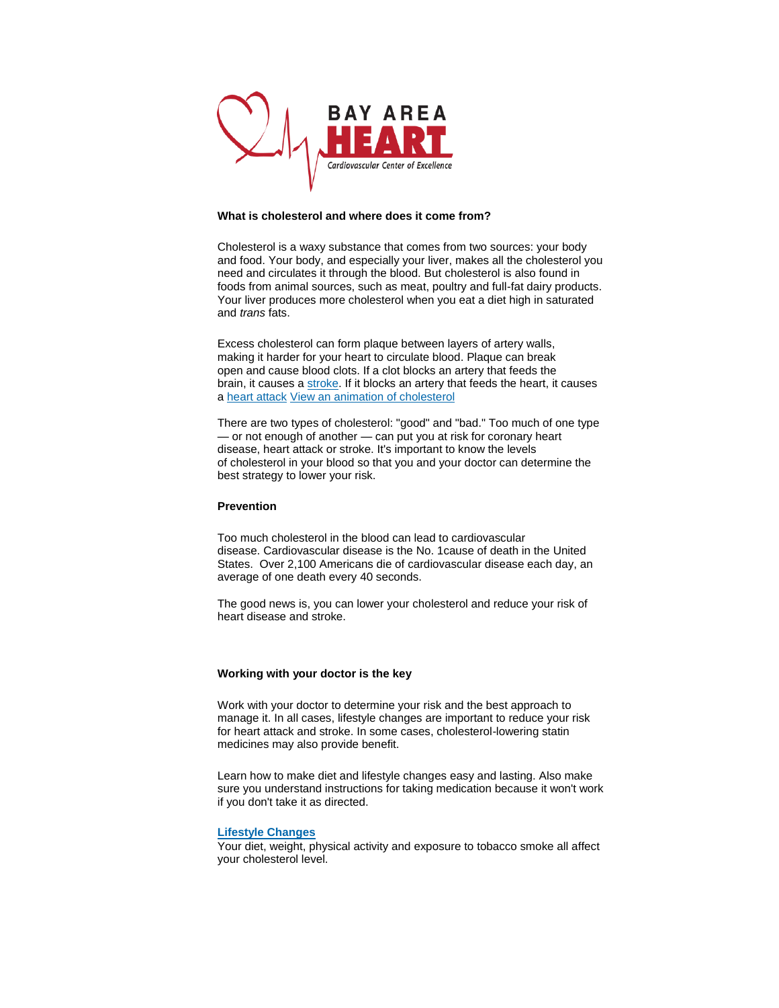

### **What is cholesterol and where does it come from?**

Cholesterol is a waxy substance that comes from two sources: your body and food. Your body, and especially your liver, makes all the cholesterol you need and circulates it through the blood. But cholesterol is also found in foods from animal sources, such as meat, poultry and full-fat dairy products. Your liver produces more cholesterol when you eat a diet high in saturated and *trans* fats.

Excess cholesterol can form plaque between layers of artery walls, making it harder for your heart to circulate blood. Plaque can break open and cause blood clots. If a clot blocks an artery that feeds the brain, it causes a [stroke.](http://www.strokeassociation.org/) If it blocks an artery that feeds the heart, it causes a heart attack [View an animation of cholesterol](http://watchlearnlive.heart.org/CVML_Player.php?moduleSelect=hdlldl)

There are two types of cholesterol: "good" and "bad." Too much of one type — or not enough of another — can put you at risk for coronary heart disease, heart attack or stroke. It's important to know the levels of cholesterol in your blood so that you and your doctor can determine the best strategy to lower your risk.

#### **Prevention**

Too much cholesterol in the blood can lead to cardiovascular disease. Cardiovascular disease is the No. 1cause of death in the United States. Over 2,100 Americans die of cardiovascular disease each day, an average of one death every 40 seconds.

The good news is, you can lower your cholesterol and reduce your risk of heart disease and stroke.

### **Working with your doctor is the key**

Work with your doctor to determine your risk and the best approach to manage it. In all cases, lifestyle changes are important to reduce your risk for heart attack and stroke. In some cases, cholesterol-lowering statin medicines may also provide benefit.

Learn how to make diet and lifestyle changes easy and lasting. Also make sure you understand instructions for taking medication because it won't work if you don't take it as directed.

### **[Lifestyle Changes](http://www.heart.org/HEARTORG/Conditions/Cholesterol/PreventionTreatmentofHighCholesterol/Lifestyle-Changes-and-Cholesterol_UCM_305627_Article.jsp)**

Your diet, weight, physical activity and exposure to tobacco smoke all affect your cholesterol level.